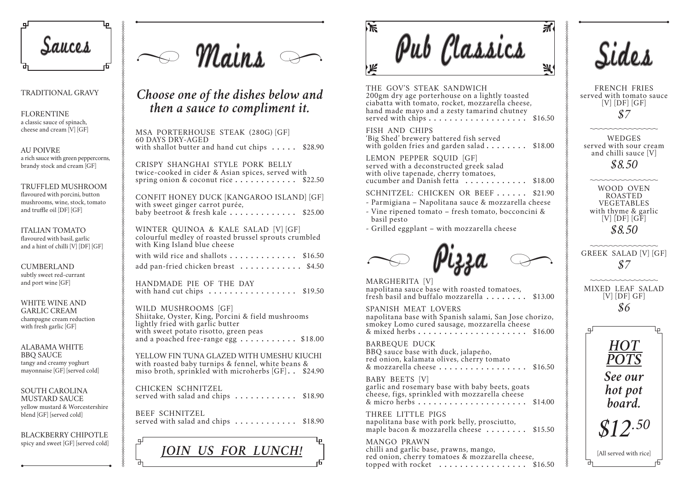THE GOV'S STEAK SANDWICH 200gm dry age porterhouse on a lightly toaste ciabatta with tomato, rocket, mozzarella chee hand made mayo and a zesty tamarind chutne served with chips **...................** \$16.50

Fish and Chips 'Big Shed' brewery battered fish served with golden fries and garden salad . . . . . . .

Lemon Pepper Squid [GF] served with a deconstructed greek salad with olive tapenade, cherry tomatoes, cucumber and Danish fetta **.........** 

SCHNITZEL: CHICKEN OR BEEF . . . . .

- Parmigiana Napolitana sauce & mozzarel
- Vine ripened tomato fresh tomato, bocco basil pesto
- Grilled eggplant with mozzarella cheese

BABY BEETS [V] garlic and rosemary base with baby beets, goat cheese, figs, sprinkled with mozzarella cheese & micro herbs **.....................** \$14.00

THREE LITTLE PIGS napolitana base with pork belly, prosciutto, maple bacon & mozzarella cheese .......

Mango Prawn chilli and garlic base, prawns, mango, red onion, cherry tomatoes & mozzarella che topped with rocket **.............**...

|            | $\overline{\Lambda}$ |  |
|------------|----------------------|--|
|            |                      |  |
|            |                      |  |
|            |                      |  |
|            |                      |  |
| ed<br>ese, |                      |  |
| ey         |                      |  |
|            | \$16.50              |  |
|            |                      |  |
|            | \$18.00              |  |
|            |                      |  |
|            |                      |  |
|            | \$18.00              |  |
|            | \$21.90              |  |
|            | la cheese            |  |
|            | ncini &              |  |
|            |                      |  |
|            |                      |  |
|            |                      |  |
|            |                      |  |
|            |                      |  |
| ,          |                      |  |
|            | \$13.00              |  |
|            |                      |  |
| ese        | e chorizo,           |  |
|            | \$16.00              |  |
|            |                      |  |
|            |                      |  |
|            | \$16.50              |  |
| ats        |                      |  |
| e          |                      |  |
|            | \$14.00              |  |
|            |                      |  |
|            | \$15.50              |  |
|            |                      |  |
| ese,       |                      |  |
|            | \$16.50              |  |

Crispy Shanghai style Pork Belly twice-cooked in cider & Asian spices, served with spring onion & coconut rice . . . . . . . . . . . \$22.50

> Spanish Meat Lovers napolitana base with Spanish salami, San Jose smokey Lomo cured sausage, mozzarella chee & mixed herbs **.....................** \$16.00

> BARBEQUE DUCK BBQ sauce base with duck, jalapeño, red onion, kalamata olives, cherry tomato  $\&$  mozzarella cheese . . . . . . . . . . . . . . . .

with wild rice and shallots . . . . . . . . . . . . \$16.50 add pan-fried chicken breast **............** \$4.50

Handmade Pie of the day with hand cut chips **.................** \$19.50

WILD MUSHROOMS [GF] Shiitake, Oyster, King, Porcini & field mushrooms lightly fried with garlic butter with sweet potato risotto, green peas and a poached free-range egg **...........** \$18.00

Chicken Schnitzel served with salad and chips  $\dots \dots \dots$ . \$18.90

BEEF SCHNITZEL served with salad and chips  $\dots \dots \dots$ . \$18.90

**FLORENTINE** a classic sauce of spinach, cheese and cream [V] [GF]

#### WHITE WINE AND garlic cream champagne cream reduction with fresh garlic [GF]

MSA Porterhouse steak (280g) [GF] 60 days dry-aged with shallot butter and hand cut chips **.....** \$28.90

SOUTH CAROLINA mustard sauce yellow mustard & Worcestershire blend [GF] [served cold]

Confit Honey Duck [Kangaroo Island] [GF] with sweet ginger carrot purée, baby beetroot & fresh kale **.............** \$25.00

Winter Quinoa & Kale Salad [V] [GF] colourful medley of roasted brussel sprouts crumbled with King Island blue cheese

Yellow Fin Tuna glazed with Umeshu kiuchi with roasted baby turnips & fennel, white beans & miso broth, sprinkled with microherbs [GF] **. .** \$24.90



### Traditional Gravy

Au poivRe a rich sauce with green peppercorns, brandy stock and cream [GF]

#### Truffled Mushroom flavoured with porcini, button mushrooms, wine, stock, tomato and truffle oil [DF] [GF]

Italian Tomato flavoured with basil, garlic and a hint of chilli [V] [DF] [GF]

## **CUMBERLAND**

subtly sweet red-currant and port wine [GF]

Alabama white **BBO SAUCE** tangy and creamy yoghurt mayonnaise [GF] [served cold]

Blackberry chipotle spicy and sweet [GF] [served cold]

 $M$ ains

French Fries served with tomato sauce  $[V]$   $[DF]$   $[GF]$ *\$7* **WEDGES** served with sour cream and chilli sauce [V] *\$8.50* <u>manamanan</u> WOOD OVEN roasted **VEGETABLES** with thyme & garlic  $[V]$   $[DF]$   $[GF]$ *\$8.50* Greek Salad [V] [GF] *\$7* mmmmmm mixed leaf Salad  $[V]$   $[DF]$   $GF]$ *\$6 HOT POTS See our hot pot board. \$12.50* [All served with rice]



 $\mathbb{R}$ sauces de Mains de Marine de Classics



MARGHERITA [V] napolitana sauce base with roasted tomatoes, fresh basil and buffalo mozzarella . . . . . . .

## *Choose one of the dishes below and then a sauce to compliment it.*